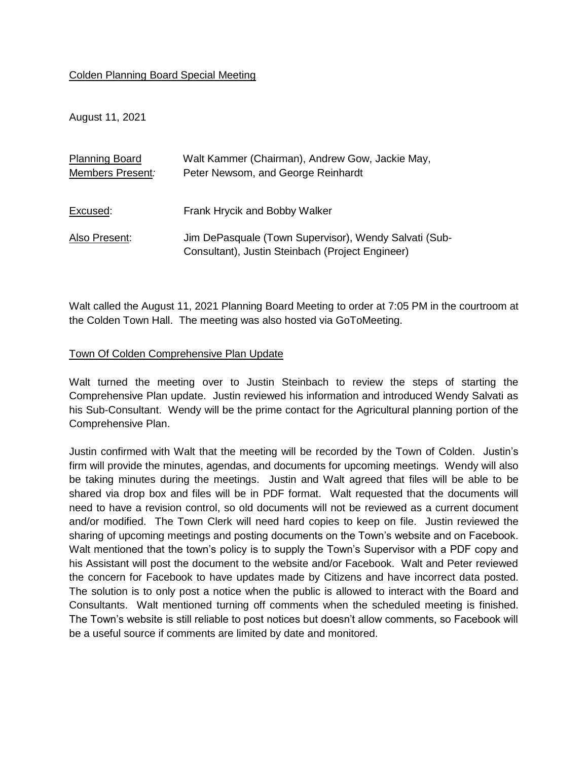## Colden Planning Board Special Meeting

August 11, 2021

| <b>Planning Board</b> | Walt Kammer (Chairman), Andrew Gow, Jackie May,                                                           |
|-----------------------|-----------------------------------------------------------------------------------------------------------|
| Members Present:      | Peter Newsom, and George Reinhardt                                                                        |
|                       |                                                                                                           |
| Excused:              | Frank Hrycik and Bobby Walker                                                                             |
| Also Present:         | Jim DePasquale (Town Supervisor), Wendy Salvati (Sub-<br>Consultant), Justin Steinbach (Project Engineer) |

Walt called the August 11, 2021 Planning Board Meeting to order at 7:05 PM in the courtroom at the Colden Town Hall. The meeting was also hosted via GoToMeeting.

## Town Of Colden Comprehensive Plan Update

Walt turned the meeting over to Justin Steinbach to review the steps of starting the Comprehensive Plan update. Justin reviewed his information and introduced Wendy Salvati as his Sub-Consultant. Wendy will be the prime contact for the Agricultural planning portion of the Comprehensive Plan.

Justin confirmed with Walt that the meeting will be recorded by the Town of Colden. Justin's firm will provide the minutes, agendas, and documents for upcoming meetings. Wendy will also be taking minutes during the meetings. Justin and Walt agreed that files will be able to be shared via drop box and files will be in PDF format. Walt requested that the documents will need to have a revision control, so old documents will not be reviewed as a current document and/or modified. The Town Clerk will need hard copies to keep on file. Justin reviewed the sharing of upcoming meetings and posting documents on the Town's website and on Facebook. Walt mentioned that the town's policy is to supply the Town's Supervisor with a PDF copy and his Assistant will post the document to the website and/or Facebook. Walt and Peter reviewed the concern for Facebook to have updates made by Citizens and have incorrect data posted. The solution is to only post a notice when the public is allowed to interact with the Board and Consultants. Walt mentioned turning off comments when the scheduled meeting is finished. The Town's website is still reliable to post notices but doesn't allow comments, so Facebook will be a useful source if comments are limited by date and monitored.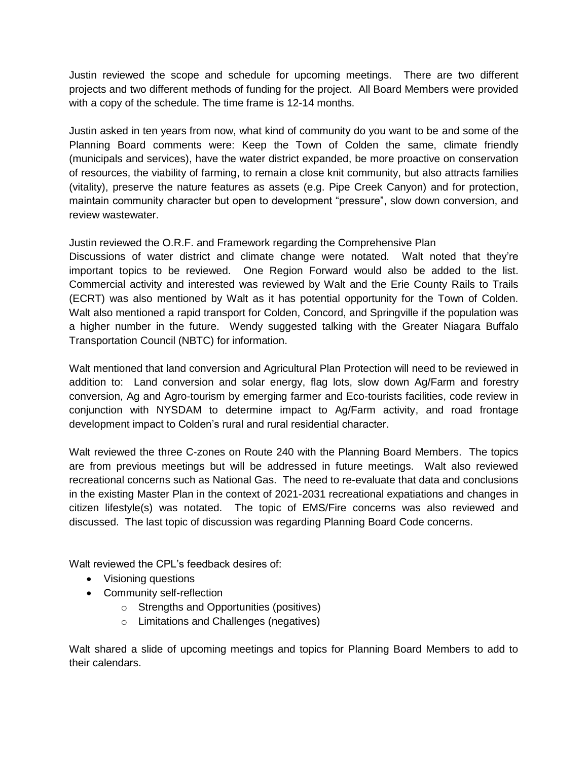Justin reviewed the scope and schedule for upcoming meetings. There are two different projects and two different methods of funding for the project. All Board Members were provided with a copy of the schedule. The time frame is 12-14 months.

Justin asked in ten years from now, what kind of community do you want to be and some of the Planning Board comments were: Keep the Town of Colden the same, climate friendly (municipals and services), have the water district expanded, be more proactive on conservation of resources, the viability of farming, to remain a close knit community, but also attracts families (vitality), preserve the nature features as assets (e.g. Pipe Creek Canyon) and for protection, maintain community character but open to development "pressure", slow down conversion, and review wastewater.

Justin reviewed the O.R.F. and Framework regarding the Comprehensive Plan

Discussions of water district and climate change were notated. Walt noted that they're important topics to be reviewed. One Region Forward would also be added to the list. Commercial activity and interested was reviewed by Walt and the Erie County Rails to Trails (ECRT) was also mentioned by Walt as it has potential opportunity for the Town of Colden. Walt also mentioned a rapid transport for Colden, Concord, and Springville if the population was a higher number in the future. Wendy suggested talking with the Greater Niagara Buffalo Transportation Council (NBTC) for information.

Walt mentioned that land conversion and Agricultural Plan Protection will need to be reviewed in addition to: Land conversion and solar energy, flag lots, slow down Ag/Farm and forestry conversion, Ag and Agro-tourism by emerging farmer and Eco-tourists facilities, code review in conjunction with NYSDAM to determine impact to Ag/Farm activity, and road frontage development impact to Colden's rural and rural residential character.

Walt reviewed the three C-zones on Route 240 with the Planning Board Members. The topics are from previous meetings but will be addressed in future meetings. Walt also reviewed recreational concerns such as National Gas. The need to re-evaluate that data and conclusions in the existing Master Plan in the context of 2021-2031 recreational expatiations and changes in citizen lifestyle(s) was notated. The topic of EMS/Fire concerns was also reviewed and discussed. The last topic of discussion was regarding Planning Board Code concerns.

Walt reviewed the CPL's feedback desires of:

- Visioning questions
- Community self-reflection
	- o Strengths and Opportunities (positives)
	- o Limitations and Challenges (negatives)

Walt shared a slide of upcoming meetings and topics for Planning Board Members to add to their calendars.